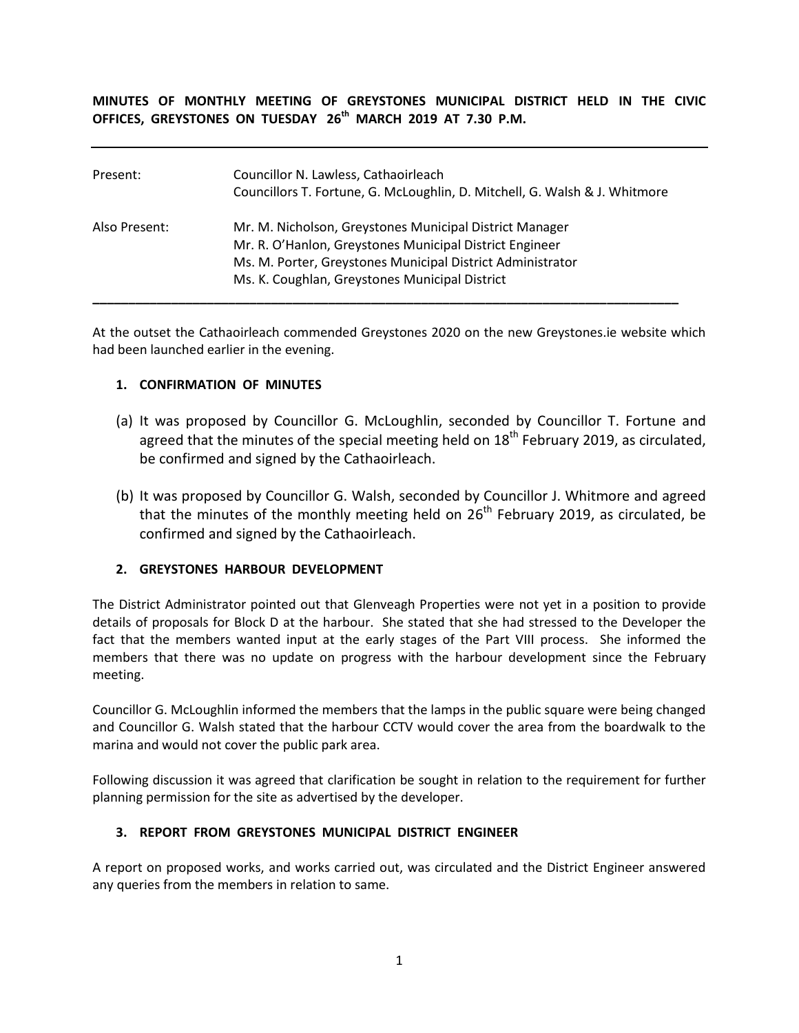**MINUTES OF MONTHLY MEETING OF GREYSTONES MUNICIPAL DISTRICT HELD IN THE CIVIC OFFICES, GREYSTONES ON TUESDAY 26 th MARCH 2019 AT 7.30 P.M.** 

| Present:      | Councillor N. Lawless, Cathaoirleach<br>Councillors T. Fortune, G. McLoughlin, D. Mitchell, G. Walsh & J. Whitmore                                                                                                                 |
|---------------|------------------------------------------------------------------------------------------------------------------------------------------------------------------------------------------------------------------------------------|
| Also Present: | Mr. M. Nicholson, Greystones Municipal District Manager<br>Mr. R. O'Hanlon, Greystones Municipal District Engineer<br>Ms. M. Porter, Greystones Municipal District Administrator<br>Ms. K. Coughlan, Greystones Municipal District |

At the outset the Cathaoirleach commended Greystones 2020 on the new Greystones.ie website which had been launched earlier in the evening.

### **1. CONFIRMATION OF MINUTES**

- (a) It was proposed by Councillor G. McLoughlin, seconded by Councillor T. Fortune and agreed that the minutes of the special meeting held on  $18<sup>th</sup>$  February 2019, as circulated, be confirmed and signed by the Cathaoirleach.
- (b) It was proposed by Councillor G. Walsh, seconded by Councillor J. Whitmore and agreed that the minutes of the monthly meeting held on 26<sup>th</sup> February 2019, as circulated, be confirmed and signed by the Cathaoirleach.

## **2. GREYSTONES HARBOUR DEVELOPMENT**

The District Administrator pointed out that Glenveagh Properties were not yet in a position to provide details of proposals for Block D at the harbour. She stated that she had stressed to the Developer the fact that the members wanted input at the early stages of the Part VIII process. She informed the members that there was no update on progress with the harbour development since the February meeting.

Councillor G. McLoughlin informed the members that the lamps in the public square were being changed and Councillor G. Walsh stated that the harbour CCTV would cover the area from the boardwalk to the marina and would not cover the public park area.

Following discussion it was agreed that clarification be sought in relation to the requirement for further planning permission for the site as advertised by the developer.

### **3. REPORT FROM GREYSTONES MUNICIPAL DISTRICT ENGINEER**

A report on proposed works, and works carried out, was circulated and the District Engineer answered any queries from the members in relation to same.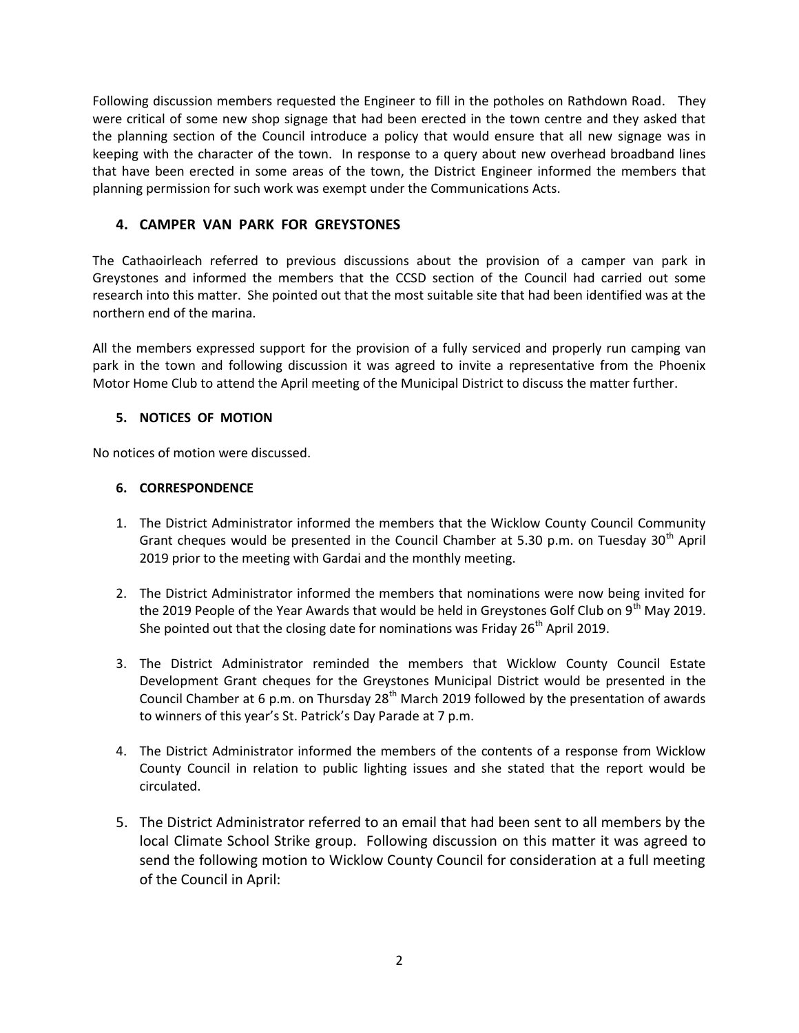Following discussion members requested the Engineer to fill in the potholes on Rathdown Road. They were critical of some new shop signage that had been erected in the town centre and they asked that the planning section of the Council introduce a policy that would ensure that all new signage was in keeping with the character of the town. In response to a query about new overhead broadband lines that have been erected in some areas of the town, the District Engineer informed the members that planning permission for such work was exempt under the Communications Acts.

# **4. CAMPER VAN PARK FOR GREYSTONES**

The Cathaoirleach referred to previous discussions about the provision of a camper van park in Greystones and informed the members that the CCSD section of the Council had carried out some research into this matter. She pointed out that the most suitable site that had been identified was at the northern end of the marina.

All the members expressed support for the provision of a fully serviced and properly run camping van park in the town and following discussion it was agreed to invite a representative from the Phoenix Motor Home Club to attend the April meeting of the Municipal District to discuss the matter further.

## **5. NOTICES OF MOTION**

No notices of motion were discussed.

## **6. CORRESPONDENCE**

- 1. The District Administrator informed the members that the Wicklow County Council Community Grant cheques would be presented in the Council Chamber at 5.30 p.m. on Tuesday  $30<sup>th</sup>$  April 2019 prior to the meeting with Gardai and the monthly meeting.
- 2. The District Administrator informed the members that nominations were now being invited for the 2019 People of the Year Awards that would be held in Greystones Golf Club on  $9<sup>th</sup>$  May 2019. She pointed out that the closing date for nominations was Friday  $26<sup>th</sup>$  April 2019.
- 3. The District Administrator reminded the members that Wicklow County Council Estate Development Grant cheques for the Greystones Municipal District would be presented in the Council Chamber at 6 p.m. on Thursday  $28<sup>th</sup>$  March 2019 followed by the presentation of awards to winners of this year's St. Patrick's Day Parade at 7 p.m.
- 4. The District Administrator informed the members of the contents of a response from Wicklow County Council in relation to public lighting issues and she stated that the report would be circulated.
- 5. The District Administrator referred to an email that had been sent to all members by the local Climate School Strike group. Following discussion on this matter it was agreed to send the following motion to Wicklow County Council for consideration at a full meeting of the Council in April: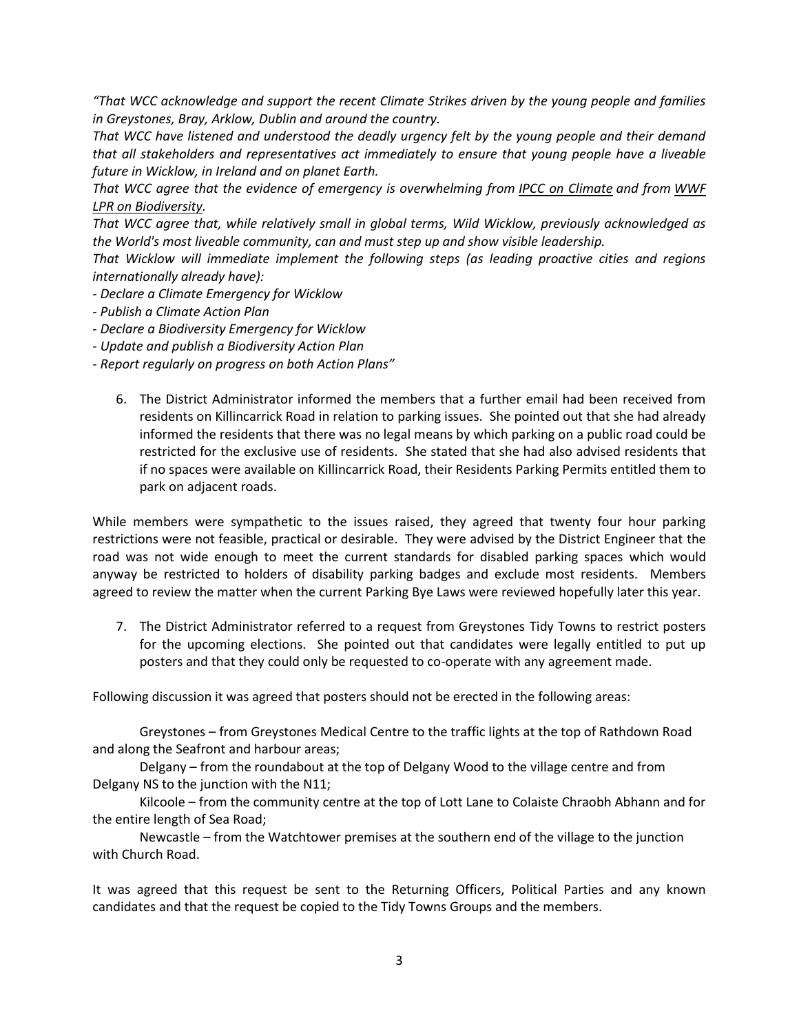*"That WCC acknowledge and support the recent Climate Strikes driven by the young people and families in Greystones, Bray, Arklow, Dublin and around the country.*

*That WCC have listened and understood the deadly urgency felt by the young people and their demand that all stakeholders and representatives act immediately to ensure that young people have a liveable future in Wicklow, in Ireland and on planet Earth.*

*That WCC agree that the evidence of emergency is overwhelming from [IPCC on Climate](https://www.ipcc.ch/sr15/) and from [WWF](https://wwf.panda.org/knowledge_hub/all_publications/living_planet_report_2018/)  [LPR on Biodiversity.](https://wwf.panda.org/knowledge_hub/all_publications/living_planet_report_2018/)*

*That WCC agree that, while relatively small in global terms, Wild Wicklow, previously acknowledged as the World's most liveable community, can and must step up and show visible leadership.*

*That Wicklow will immediate implement the following steps (as leading proactive cities and regions internationally already have):*

- *- Declare a Climate Emergency for Wicklow*
- *- Publish a Climate Action Plan*
- *- Declare a Biodiversity Emergency for Wicklow*
- *- Update and publish a Biodiversity Action Plan*
- *- Report regularly on progress on both Action Plans"*
	- 6. The District Administrator informed the members that a further email had been received from residents on Killincarrick Road in relation to parking issues. She pointed out that she had already informed the residents that there was no legal means by which parking on a public road could be restricted for the exclusive use of residents. She stated that she had also advised residents that if no spaces were available on Killincarrick Road, their Residents Parking Permits entitled them to park on adjacent roads.

While members were sympathetic to the issues raised, they agreed that twenty four hour parking restrictions were not feasible, practical or desirable. They were advised by the District Engineer that the road was not wide enough to meet the current standards for disabled parking spaces which would anyway be restricted to holders of disability parking badges and exclude most residents. Members agreed to review the matter when the current Parking Bye Laws were reviewed hopefully later this year.

7. The District Administrator referred to a request from Greystones Tidy Towns to restrict posters for the upcoming elections. She pointed out that candidates were legally entitled to put up posters and that they could only be requested to co-operate with any agreement made.

Following discussion it was agreed that posters should not be erected in the following areas:

Greystones – from Greystones Medical Centre to the traffic lights at the top of Rathdown Road and along the Seafront and harbour areas;

Delgany – from the roundabout at the top of Delgany Wood to the village centre and from Delgany NS to the junction with the N11;

Kilcoole – from the community centre at the top of Lott Lane to Colaiste Chraobh Abhann and for the entire length of Sea Road;

Newcastle – from the Watchtower premises at the southern end of the village to the junction with Church Road.

It was agreed that this request be sent to the Returning Officers, Political Parties and any known candidates and that the request be copied to the Tidy Towns Groups and the members.